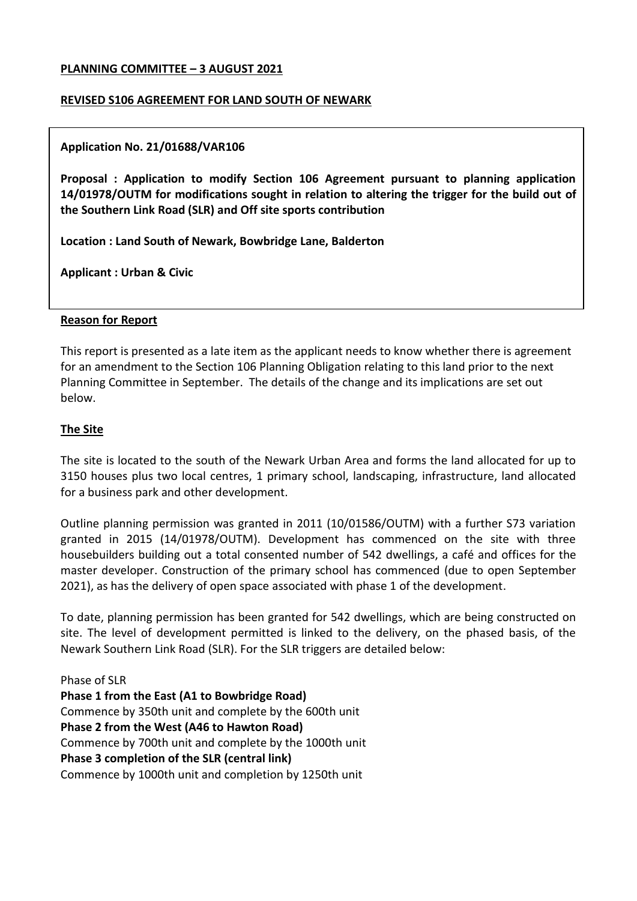#### **PLANNING COMMITTEE – 3 AUGUST 2021**

#### **REVISED S106 AGREEMENT FOR LAND SOUTH OF NEWARK**

#### **Application No. 21/01688/VAR106**

**Proposal : Application to modify Section 106 Agreement pursuant to planning application 14/01978/OUTM for modifications sought in relation to altering the trigger for the build out of the Southern Link Road (SLR) and Off site sports contribution**

**Location : Land South of Newark, Bowbridge Lane, Balderton**

**Applicant : Urban & Civic**

#### **Reason for Report**

This report is presented as a late item as the applicant needs to know whether there is agreement for an amendment to the Section 106 Planning Obligation relating to this land prior to the next Planning Committee in September. The details of the change and its implications are set out below.

## **The Site**

The site is located to the south of the Newark Urban Area and forms the land allocated for up to 3150 houses plus two local centres, 1 primary school, landscaping, infrastructure, land allocated for a business park and other development.

Outline planning permission was granted in 2011 (10/01586/OUTM) with a further S73 variation granted in 2015 (14/01978/OUTM). Development has commenced on the site with three housebuilders building out a total consented number of 542 dwellings, a café and offices for the master developer. Construction of the primary school has commenced (due to open September 2021), as has the delivery of open space associated with phase 1 of the development.

To date, planning permission has been granted for 542 dwellings, which are being constructed on site. The level of development permitted is linked to the delivery, on the phased basis, of the Newark Southern Link Road (SLR). For the SLR triggers are detailed below:

Phase of SLR **Phase 1 from the East (A1 to Bowbridge Road)** Commence by 350th unit and complete by the 600th unit **Phase 2 from the West (A46 to Hawton Road)** Commence by 700th unit and complete by the 1000th unit **Phase 3 completion of the SLR (central link)** Commence by 1000th unit and completion by 1250th unit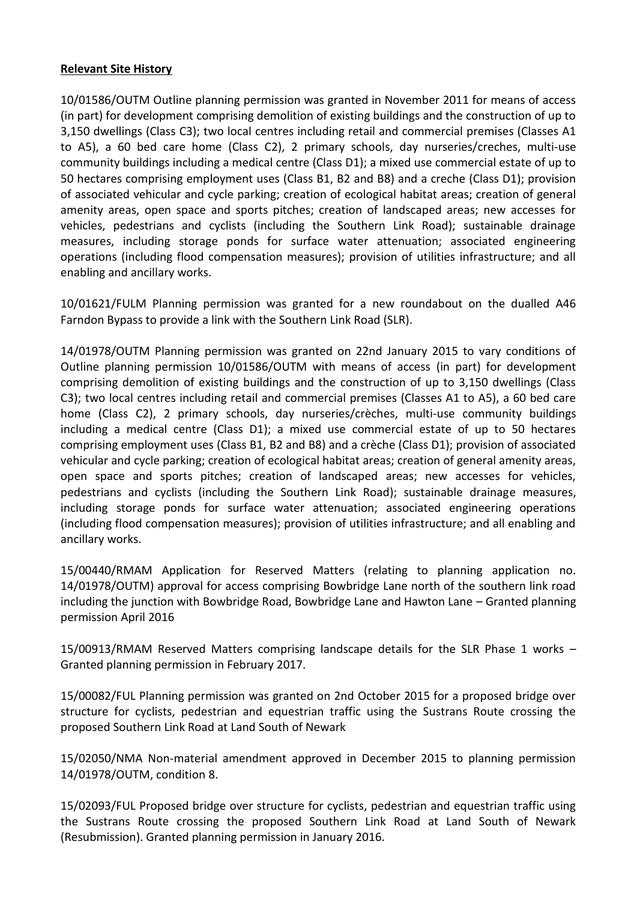## **Relevant Site History**

10/01586/OUTM Outline planning permission was granted in November 2011 for means of access (in part) for development comprising demolition of existing buildings and the construction of up to 3,150 dwellings (Class C3); two local centres including retail and commercial premises (Classes A1 to A5), a 60 bed care home (Class C2), 2 primary schools, day nurseries/creches, multi-use community buildings including a medical centre (Class D1); a mixed use commercial estate of up to 50 hectares comprising employment uses (Class B1, B2 and B8) and a creche (Class D1); provision of associated vehicular and cycle parking; creation of ecological habitat areas; creation of general amenity areas, open space and sports pitches; creation of landscaped areas; new accesses for vehicles, pedestrians and cyclists (including the Southern Link Road); sustainable drainage measures, including storage ponds for surface water attenuation; associated engineering operations (including flood compensation measures); provision of utilities infrastructure; and all enabling and ancillary works.

10/01621/FULM Planning permission was granted for a new roundabout on the dualled A46 Farndon Bypass to provide a link with the Southern Link Road (SLR).

14/01978/OUTM Planning permission was granted on 22nd January 2015 to vary conditions of Outline planning permission 10/01586/OUTM with means of access (in part) for development comprising demolition of existing buildings and the construction of up to 3,150 dwellings (Class C3); two local centres including retail and commercial premises (Classes A1 to A5), a 60 bed care home (Class C2), 2 primary schools, day nurseries/crèches, multi-use community buildings including a medical centre (Class D1); a mixed use commercial estate of up to 50 hectares comprising employment uses (Class B1, B2 and B8) and a crèche (Class D1); provision of associated vehicular and cycle parking; creation of ecological habitat areas; creation of general amenity areas, open space and sports pitches; creation of landscaped areas; new accesses for vehicles, pedestrians and cyclists (including the Southern Link Road); sustainable drainage measures, including storage ponds for surface water attenuation; associated engineering operations (including flood compensation measures); provision of utilities infrastructure; and all enabling and ancillary works.

15/00440/RMAM Application for Reserved Matters (relating to planning application no. 14/01978/OUTM) approval for access comprising Bowbridge Lane north of the southern link road including the junction with Bowbridge Road, Bowbridge Lane and Hawton Lane – Granted planning permission April 2016

15/00913/RMAM Reserved Matters comprising landscape details for the SLR Phase 1 works – Granted planning permission in February 2017.

15/00082/FUL Planning permission was granted on 2nd October 2015 for a proposed bridge over structure for cyclists, pedestrian and equestrian traffic using the Sustrans Route crossing the proposed Southern Link Road at Land South of Newark

15/02050/NMA Non-material amendment approved in December 2015 to planning permission 14/01978/OUTM, condition 8.

15/02093/FUL Proposed bridge over structure for cyclists, pedestrian and equestrian traffic using the Sustrans Route crossing the proposed Southern Link Road at Land South of Newark (Resubmission). Granted planning permission in January 2016.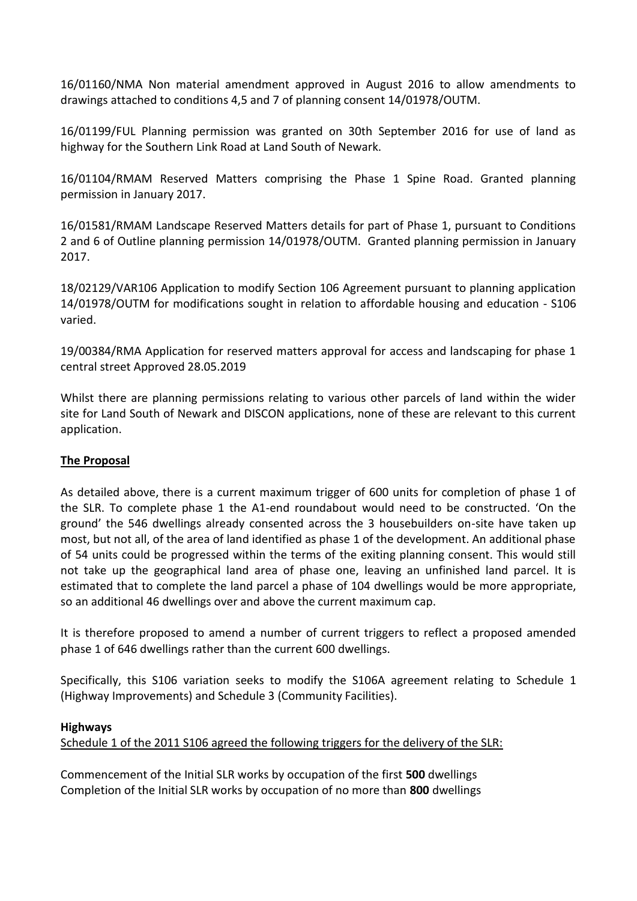16/01160/NMA Non material amendment approved in August 2016 to allow amendments to drawings attached to conditions 4,5 and 7 of planning consent 14/01978/OUTM.

16/01199/FUL Planning permission was granted on 30th September 2016 for use of land as highway for the Southern Link Road at Land South of Newark.

16/01104/RMAM Reserved Matters comprising the Phase 1 Spine Road. Granted planning permission in January 2017.

16/01581/RMAM Landscape Reserved Matters details for part of Phase 1, pursuant to Conditions 2 and 6 of Outline planning permission 14/01978/OUTM. Granted planning permission in January 2017.

18/02129/VAR106 Application to modify Section 106 Agreement pursuant to planning application 14/01978/OUTM for modifications sought in relation to affordable housing and education - S106 varied.

19/00384/RMA Application for reserved matters approval for access and landscaping for phase 1 central street Approved 28.05.2019

Whilst there are planning permissions relating to various other parcels of land within the wider site for Land South of Newark and DISCON applications, none of these are relevant to this current application.

# **The Proposal**

As detailed above, there is a current maximum trigger of 600 units for completion of phase 1 of the SLR. To complete phase 1 the A1-end roundabout would need to be constructed. 'On the ground' the 546 dwellings already consented across the 3 housebuilders on-site have taken up most, but not all, of the area of land identified as phase 1 of the development. An additional phase of 54 units could be progressed within the terms of the exiting planning consent. This would still not take up the geographical land area of phase one, leaving an unfinished land parcel. It is estimated that to complete the land parcel a phase of 104 dwellings would be more appropriate, so an additional 46 dwellings over and above the current maximum cap.

It is therefore proposed to amend a number of current triggers to reflect a proposed amended phase 1 of 646 dwellings rather than the current 600 dwellings.

Specifically, this S106 variation seeks to modify the S106A agreement relating to Schedule 1 (Highway Improvements) and Schedule 3 (Community Facilities).

# **Highways**

Schedule 1 of the 2011 S106 agreed the following triggers for the delivery of the SLR:

Commencement of the Initial SLR works by occupation of the first **500** dwellings Completion of the Initial SLR works by occupation of no more than **800** dwellings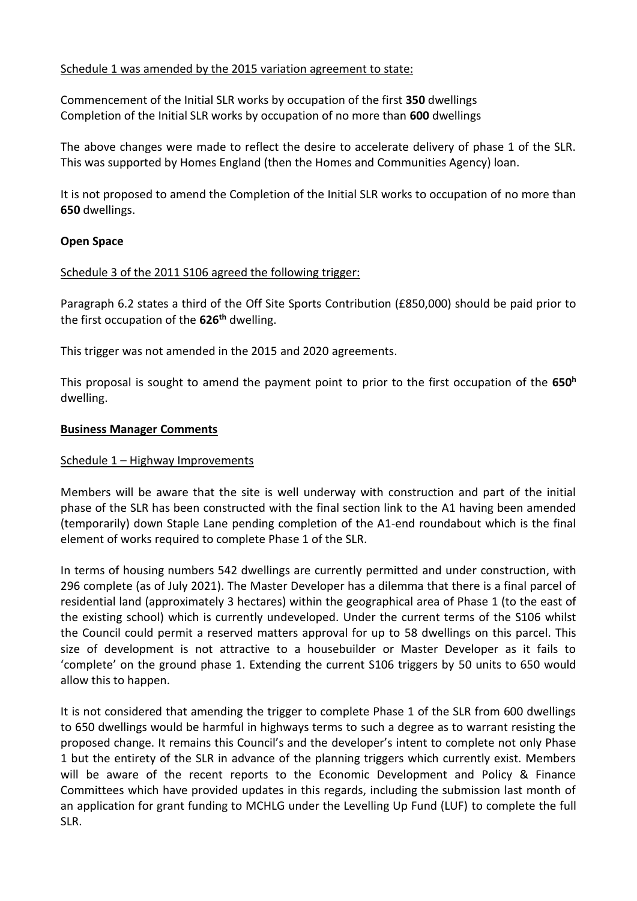## Schedule 1 was amended by the 2015 variation agreement to state:

Commencement of the Initial SLR works by occupation of the first **350** dwellings Completion of the Initial SLR works by occupation of no more than **600** dwellings

The above changes were made to reflect the desire to accelerate delivery of phase 1 of the SLR. This was supported by Homes England (then the Homes and Communities Agency) loan.

It is not proposed to amend the Completion of the Initial SLR works to occupation of no more than **650** dwellings.

## **Open Space**

## Schedule 3 of the 2011 S106 agreed the following trigger:

Paragraph 6.2 states a third of the Off Site Sports Contribution (£850,000) should be paid prior to the first occupation of the **626th** dwelling.

This trigger was not amended in the 2015 and 2020 agreements.

This proposal is sought to amend the payment point to prior to the first occupation of the **650<sup>h</sup>** dwelling.

## **Business Manager Comments**

## Schedule 1 – Highway Improvements

Members will be aware that the site is well underway with construction and part of the initial phase of the SLR has been constructed with the final section link to the A1 having been amended (temporarily) down Staple Lane pending completion of the A1-end roundabout which is the final element of works required to complete Phase 1 of the SLR.

In terms of housing numbers 542 dwellings are currently permitted and under construction, with 296 complete (as of July 2021). The Master Developer has a dilemma that there is a final parcel of residential land (approximately 3 hectares) within the geographical area of Phase 1 (to the east of the existing school) which is currently undeveloped. Under the current terms of the S106 whilst the Council could permit a reserved matters approval for up to 58 dwellings on this parcel. This size of development is not attractive to a housebuilder or Master Developer as it fails to 'complete' on the ground phase 1. Extending the current S106 triggers by 50 units to 650 would allow this to happen.

It is not considered that amending the trigger to complete Phase 1 of the SLR from 600 dwellings to 650 dwellings would be harmful in highways terms to such a degree as to warrant resisting the proposed change. It remains this Council's and the developer's intent to complete not only Phase 1 but the entirety of the SLR in advance of the planning triggers which currently exist. Members will be aware of the recent reports to the Economic Development and Policy & Finance Committees which have provided updates in this regards, including the submission last month of an application for grant funding to MCHLG under the Levelling Up Fund (LUF) to complete the full SLR.